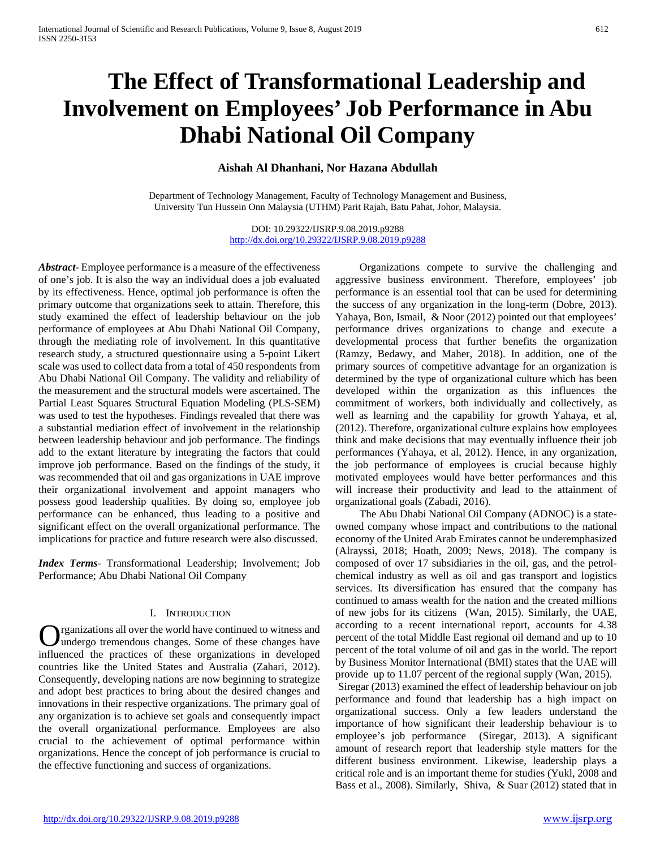# **The Effect of Transformational Leadership and Involvement on Employees' Job Performance in Abu Dhabi National Oil Company**

# **Aishah Al Dhanhani, Nor Hazana Abdullah**

Department of Technology Management, Faculty of Technology Management and Business, University Tun Hussein Onn Malaysia (UTHM) Parit Rajah, Batu Pahat, Johor, Malaysia.

> DOI: 10.29322/IJSRP.9.08.2019.p9288 <http://dx.doi.org/10.29322/IJSRP.9.08.2019.p9288>

*Abstract***-** Employee performance is a measure of the effectiveness of one's job. It is also the way an individual does a job evaluated by its effectiveness. Hence, optimal job performance is often the primary outcome that organizations seek to attain. Therefore, this study examined the effect of leadership behaviour on the job performance of employees at Abu Dhabi National Oil Company, through the mediating role of involvement. In this quantitative research study, a structured questionnaire using a 5-point Likert scale was used to collect data from a total of 450 respondents from Abu Dhabi National Oil Company. The validity and reliability of the measurement and the structural models were ascertained. The Partial Least Squares Structural Equation Modeling (PLS-SEM) was used to test the hypotheses. Findings revealed that there was a substantial mediation effect of involvement in the relationship between leadership behaviour and job performance. The findings add to the extant literature by integrating the factors that could improve job performance. Based on the findings of the study, it was recommended that oil and gas organizations in UAE improve their organizational involvement and appoint managers who possess good leadership qualities. By doing so, employee job performance can be enhanced, thus leading to a positive and significant effect on the overall organizational performance. The implications for practice and future research were also discussed.

*Index Terms*- Transformational Leadership; Involvement; Job Performance; Abu Dhabi National Oil Company

#### I. INTRODUCTION

rganizations all over the world have continued to witness and undergo tremendous changes. Some of these changes have **C** rganizations all over the world have continued to witness and undergo tremendous changes. Some of these changes have influenced the practices of these organizations in developed countries like the United States and Australia (Zahari, 2012). Consequently, developing nations are now beginning to strategize and adopt best practices to bring about the desired changes and innovations in their respective organizations. The primary goal of any organization is to achieve set goals and consequently impact the overall organizational performance. Employees are also crucial to the achievement of optimal performance within organizations. Hence the concept of job performance is crucial to the effective functioning and success of organizations.

 Organizations compete to survive the challenging and aggressive business environment. Therefore, employees' job performance is an essential tool that can be used for determining the success of any organization in the long-term (Dobre, 2013). Yahaya, Bon, Ismail, & Noor (2012) pointed out that employees' performance drives organizations to change and execute a developmental process that further benefits the organization (Ramzy, Bedawy, and Maher, 2018). In addition, one of the primary sources of competitive advantage for an organization is determined by the type of organizational culture which has been developed within the organization as this influences the commitment of workers, both individually and collectively, as well as learning and the capability for growth Yahaya, et al, (2012). Therefore, organizational culture explains how employees think and make decisions that may eventually influence their job performances (Yahaya, et al, 2012). Hence, in any organization, the job performance of employees is crucial because highly motivated employees would have better performances and this will increase their productivity and lead to the attainment of organizational goals (Zabadi, 2016).

 The Abu Dhabi National Oil Company (ADNOC) is a stateowned company whose impact and contributions to the national economy of the United Arab Emirates cannot be underemphasized (Alrayssi, 2018; Hoath, 2009; News, 2018). The company is composed of over 17 subsidiaries in the oil, gas, and the petrolchemical industry as well as oil and gas transport and logistics services. Its diversification has ensured that the company has continued to amass wealth for the nation and the created millions of new jobs for its citizens (Wan, 2015). Similarly, the UAE, according to a recent international report, accounts for 4.38 percent of the total Middle East regional oil demand and up to 10 percent of the total volume of oil and gas in the world. The report by Business Monitor International (BMI) states that the UAE will provide up to 11.07 percent of the regional supply (Wan, 2015). Siregar (2013) examined the effect of leadership behaviour on job performance and found that leadership has a high impact on organizational success. Only a few leaders understand the importance of how significant their leadership behaviour is to employee's job performance (Siregar, 2013). A significant amount of research report that leadership style matters for the

different business environment. Likewise, leadership plays a critical role and is an important theme for studies (Yukl, 2008 and Bass et al., 2008). Similarly, Shiva, & Suar (2012) stated that in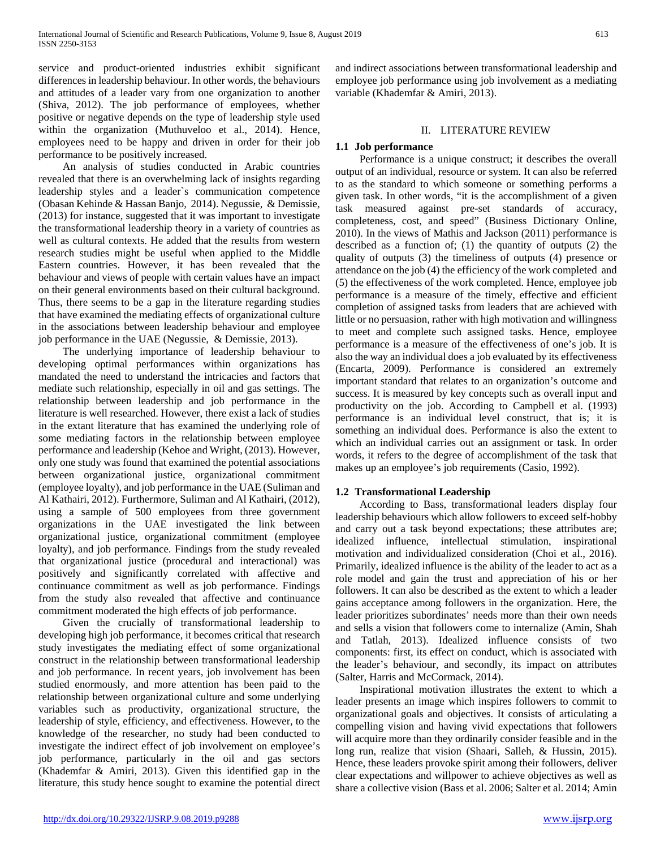service and product-oriented industries exhibit significant differences in leadership behaviour. In other words, the behaviours and attitudes of a leader vary from one organization to another (Shiva, 2012). The job performance of employees, whether positive or negative depends on the type of leadership style used within the organization (Muthuveloo et al., 2014). Hence, employees need to be happy and driven in order for their job performance to be positively increased.

 An analysis of studies conducted in Arabic countries revealed that there is an overwhelming lack of insights regarding leadership styles and a leader`s communication competence (Obasan Kehinde & Hassan Banjo, 2014). Negussie, & Demissie, (2013) for instance, suggested that it was important to investigate the transformational leadership theory in a variety of countries as well as cultural contexts. He added that the results from western research studies might be useful when applied to the Middle Eastern countries. However, it has been revealed that the behaviour and views of people with certain values have an impact on their general environments based on their cultural background. Thus, there seems to be a gap in the literature regarding studies that have examined the mediating effects of organizational culture in the associations between leadership behaviour and employee job performance in the UAE (Negussie, & Demissie, 2013).

 The underlying importance of leadership behaviour to developing optimal performances within organizations has mandated the need to understand the intricacies and factors that mediate such relationship, especially in oil and gas settings. The relationship between leadership and job performance in the literature is well researched. However, there exist a lack of studies in the extant literature that has examined the underlying role of some mediating factors in the relationship between employee performance and leadership (Kehoe and Wright, (2013). However, only one study was found that examined the potential associations between organizational justice, organizational commitment (employee loyalty), and job performance in the UAE (Suliman and Al Kathairi, 2012). Furthermore, Suliman and Al Kathairi, (2012), using a sample of 500 employees from three government organizations in the UAE investigated the link between organizational justice, organizational commitment (employee loyalty), and job performance. Findings from the study revealed that organizational justice (procedural and interactional) was positively and significantly correlated with affective and continuance commitment as well as job performance. Findings from the study also revealed that affective and continuance commitment moderated the high effects of job performance.

 Given the crucially of transformational leadership to developing high job performance, it becomes critical that research study investigates the mediating effect of some organizational construct in the relationship between transformational leadership and job performance. In recent years, job involvement has been studied enormously, and more attention has been paid to the relationship between organizational culture and some underlying variables such as productivity, organizational structure, the leadership of style, efficiency, and effectiveness. However, to the knowledge of the researcher, no study had been conducted to investigate the indirect effect of job involvement on employee's job performance, particularly in the oil and gas sectors (Khademfar & Amiri, 2013). Given this identified gap in the literature, this study hence sought to examine the potential direct and indirect associations between transformational leadership and employee job performance using job involvement as a mediating variable (Khademfar & Amiri, 2013).

# II. LITERATURE REVIEW

# **1.1 Job performance**

 Performance is a unique construct; it describes the overall output of an individual, resource or system. It can also be referred to as the standard to which someone or something performs a given task. In other words, "it is the accomplishment of a given task measured against pre-set standards of accuracy, completeness, cost, and speed" (Business Dictionary Online, 2010). In the views of Mathis and Jackson (2011) performance is described as a function of; (1) the quantity of outputs (2) the quality of outputs (3) the timeliness of outputs (4) presence or attendance on the job (4) the efficiency of the work completed and (5) the effectiveness of the work completed. Hence, employee job performance is a measure of the timely, effective and efficient completion of assigned tasks from leaders that are achieved with little or no persuasion, rather with high motivation and willingness to meet and complete such assigned tasks. Hence, employee performance is a measure of the effectiveness of one's job. It is also the way an individual does a job evaluated by its effectiveness (Encarta, 2009). Performance is considered an extremely important standard that relates to an organization's outcome and success. It is measured by key concepts such as overall input and productivity on the job. According to Campbell et al. (1993) performance is an individual level construct, that is; it is something an individual does. Performance is also the extent to which an individual carries out an assignment or task. In order words, it refers to the degree of accomplishment of the task that makes up an employee's job requirements (Casio, 1992).

# **1.2 Transformational Leadership**

 According to Bass, transformational leaders display four leadership behaviours which allow followers to exceed self-hobby and carry out a task beyond expectations; these attributes are; idealized influence, intellectual stimulation, inspirational motivation and individualized consideration (Choi et al., 2016). Primarily, idealized influence is the ability of the leader to act as a role model and gain the trust and appreciation of his or her followers. It can also be described as the extent to which a leader gains acceptance among followers in the organization. Here, the leader prioritizes subordinates' needs more than their own needs and sells a vision that followers come to internalize (Amin, Shah and Tatlah, 2013). Idealized influence consists of two components: first, its effect on conduct, which is associated with the leader's behaviour, and secondly, its impact on attributes (Salter, Harris and McCormack, 2014).

 Inspirational motivation illustrates the extent to which a leader presents an image which inspires followers to commit to organizational goals and objectives. It consists of articulating a compelling vision and having vivid expectations that followers will acquire more than they ordinarily consider feasible and in the long run, realize that vision (Shaari, Salleh, & Hussin, 2015). Hence, these leaders provoke spirit among their followers, deliver clear expectations and willpower to achieve objectives as well as share a collective vision (Bass et al. 2006; Salter et al. 2014; Amin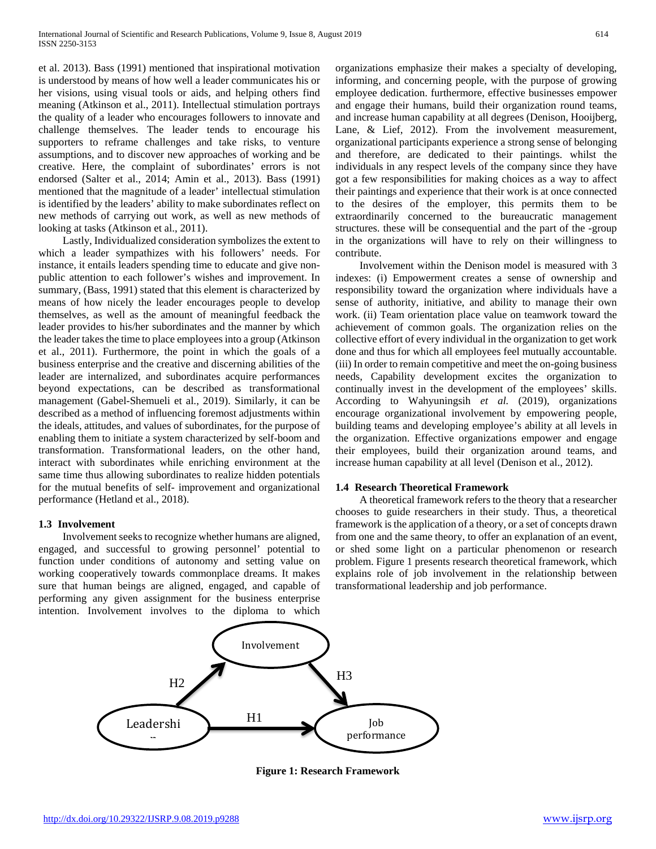et al. 2013). Bass (1991) mentioned that inspirational motivation is understood by means of how well a leader communicates his or her visions, using visual tools or aids, and helping others find meaning (Atkinson et al., 2011). Intellectual stimulation portrays the quality of a leader who encourages followers to innovate and challenge themselves. The leader tends to encourage his supporters to reframe challenges and take risks, to venture assumptions, and to discover new approaches of working and be creative. Here, the complaint of subordinates' errors is not endorsed (Salter et al., 2014; Amin et al., 2013). Bass (1991) mentioned that the magnitude of a leader' intellectual stimulation is identified by the leaders' ability to make subordinates reflect on new methods of carrying out work, as well as new methods of looking at tasks (Atkinson et al., 2011).

 Lastly, Individualized consideration symbolizes the extent to which a leader sympathizes with his followers' needs. For instance, it entails leaders spending time to educate and give nonpublic attention to each follower's wishes and improvement. In summary, (Bass, 1991) stated that this element is characterized by means of how nicely the leader encourages people to develop themselves, as well as the amount of meaningful feedback the leader provides to his/her subordinates and the manner by which the leader takes the time to place employees into a group (Atkinson et al., 2011). Furthermore, the point in which the goals of a business enterprise and the creative and discerning abilities of the leader are internalized, and subordinates acquire performances beyond expectations, can be described as transformational management (Gabel-Shemueli et al., 2019). Similarly, it can be described as a method of influencing foremost adjustments within the ideals, attitudes, and values of subordinates, for the purpose of enabling them to initiate a system characterized by self-boom and transformation. Transformational leaders, on the other hand, interact with subordinates while enriching environment at the same time thus allowing subordinates to realize hidden potentials for the mutual benefits of self- improvement and organizational performance (Hetland et al., 2018).

## **1.3 Involvement**

 Involvement seeks to recognize whether humans are aligned, engaged, and successful to growing personnel' potential to function under conditions of autonomy and setting value on working cooperatively towards commonplace dreams. It makes sure that human beings are aligned, engaged, and capable of performing any given assignment for the business enterprise intention. Involvement involves to the diploma to which organizations emphasize their makes a specialty of developing, informing, and concerning people, with the purpose of growing employee dedication. furthermore, effective businesses empower and engage their humans, build their organization round teams, and increase human capability at all degrees (Denison, Hooijberg, Lane, & Lief, 2012). From the involvement measurement, organizational participants experience a strong sense of belonging and therefore, are dedicated to their paintings. whilst the individuals in any respect levels of the company since they have got a few responsibilities for making choices as a way to affect their paintings and experience that their work is at once connected to the desires of the employer, this permits them to be extraordinarily concerned to the bureaucratic management structures. these will be consequential and the part of the -group in the organizations will have to rely on their willingness to contribute.

 Involvement within the Denison model is measured with 3 indexes: (i) Empowerment creates a sense of ownership and responsibility toward the organization where individuals have a sense of authority, initiative, and ability to manage their own work. (ii) Team orientation place value on teamwork toward the achievement of common goals. The organization relies on the collective effort of every individual in the organization to get work done and thus for which all employees feel mutually accountable. (iii) In order to remain competitive and meet the on-going business needs, Capability development excites the organization to continually invest in the development of the employees' skills. According to Wahyuningsih *et al.* (2019), organizations encourage organizational involvement by empowering people, building teams and developing employee's ability at all levels in the organization. Effective organizations empower and engage their employees, build their organization around teams, and increase human capability at all level (Denison et al., 2012).

#### **1.4 Research Theoretical Framework**

 A theoretical framework refers to the theory that a researcher chooses to guide researchers in their study. Thus, a theoretical framework is the application of a theory, or a set of concepts drawn from one and the same theory, to offer an explanation of an event, or shed some light on a particular phenomenon or research problem. Figure 1 presents research theoretical framework, which explains role of job involvement in the relationship between transformational leadership and job performance.



**Figure 1: Research Framework**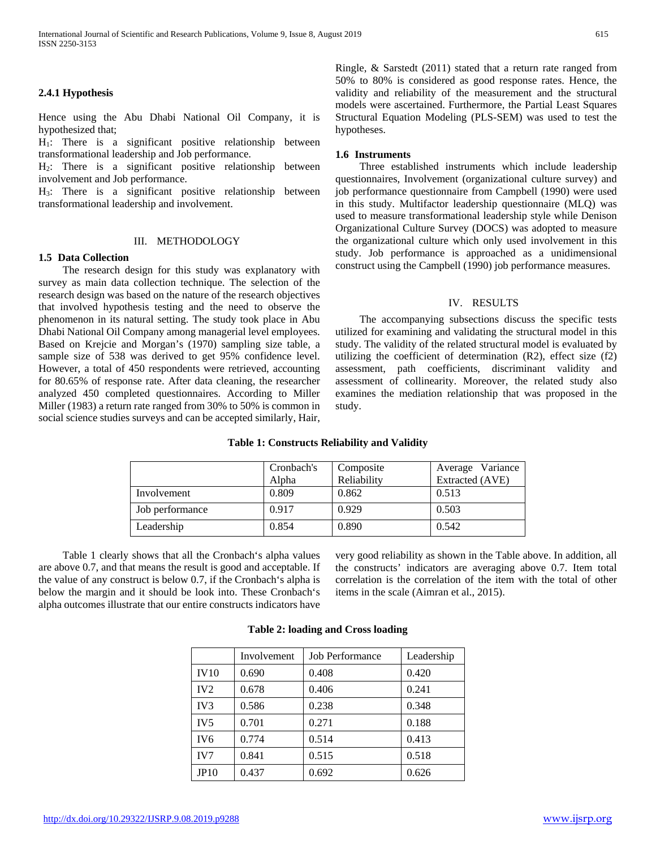### **2.4.1 Hypothesis**

Hence using the Abu Dhabi National Oil Company, it is hypothesized that;

 $H_1$ : There is a significant positive relationship between transformational leadership and Job performance.

H2: There is a significant positive relationship between involvement and Job performance.

 $H_3$ : There is a significant positive relationship between transformational leadership and involvement.

#### III. METHODOLOGY

#### **1.5 Data Collection**

 The research design for this study was explanatory with survey as main data collection technique. The selection of the research design was based on the nature of the research objectives that involved hypothesis testing and the need to observe the phenomenon in its natural setting. The study took place in Abu Dhabi National Oil Company among managerial level employees. Based on Krejcie and Morgan's (1970) sampling size table, a sample size of 538 was derived to get 95% confidence level. However, a total of 450 respondents were retrieved, accounting for 80.65% of response rate. After data cleaning, the researcher analyzed 450 completed questionnaires. According to Miller Miller (1983) a return rate ranged from 30% to 50% is common in social science studies surveys and can be accepted similarly, Hair,

Ringle, & Sarstedt (2011) stated that a return rate ranged from 50% to 80% is considered as good response rates. Hence, the validity and reliability of the measurement and the structural models were ascertained. Furthermore, the Partial Least Squares Structural Equation Modeling (PLS-SEM) was used to test the hypotheses.

#### **1.6 Instruments**

 Three established instruments which include leadership questionnaires, Involvement (organizational culture survey) and job performance questionnaire from Campbell (1990) were used in this study. Multifactor leadership questionnaire (MLQ) was used to measure transformational leadership style while Denison Organizational Culture Survey (DOCS) was adopted to measure the organizational culture which only used involvement in this study. Job performance is approached as a unidimensional construct using the Campbell (1990) job performance measures.

#### IV. RESULTS

 The accompanying subsections discuss the specific tests utilized for examining and validating the structural model in this study. The validity of the related structural model is evaluated by utilizing the coefficient of determination (R2), effect size (f2) assessment, path coefficients, discriminant validity and assessment of collinearity. Moreover, the related study also examines the mediation relationship that was proposed in the study.

|                 | Cronbach's | Composite   | Average Variance |
|-----------------|------------|-------------|------------------|
|                 | Alpha      | Reliability | Extracted (AVE)  |
| Involvement     | 0.809      | 0.862       | 0.513            |
| Job performance | 0.917      | 0.929       | 0.503            |
| Leadership      | 0.854      | 0.890       | 0.542            |

## **Table 1: Constructs Reliability and Validity**

 Table 1 clearly shows that all the Cronbach's alpha values are above 0.7, and that means the result is good and acceptable. If the value of any construct is below 0.7, if the Cronbach's alpha is below the margin and it should be look into. These Cronbach's alpha outcomes illustrate that our entire constructs indicators have very good reliability as shown in the Table above. In addition, all the constructs' indicators are averaging above 0.7. Item total correlation is the correlation of the item with the total of other items in the scale (Aimran et al., 2015).

|                 | Involvement | Job Performance | Leadership |
|-----------------|-------------|-----------------|------------|
| <b>IV10</b>     | 0.690       | 0.408           | 0.420      |
| IV2             | 0.678       | 0.406           | 0.241      |
| IV <sub>3</sub> | 0.586       | 0.238           | 0.348      |
| IV <sub>5</sub> | 0.701       | 0.271           | 0.188      |
| IV <sub>6</sub> | 0.774       | 0.514           | 0.413      |
| IV7             | 0.841       | 0.515           | 0.518      |
| JP10            | 0.437       | 0.692           | 0.626      |

## **Table 2: loading and Cross loading**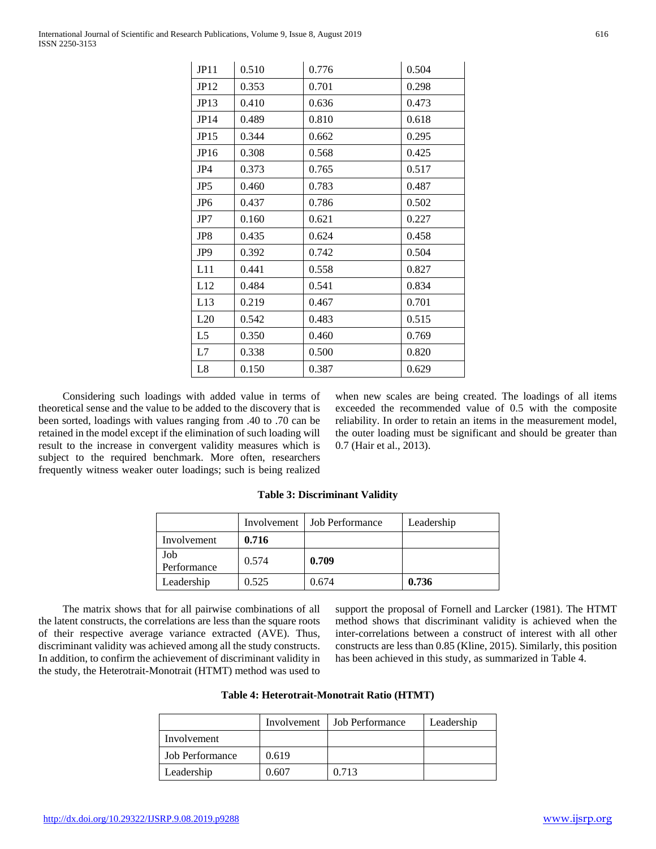Considering such loadings with added value in terms of theoretical sense and the value to be added to the discovery that is been sorted, loadings with values ranging from .40 to .70 can be retained in the model except if the elimination of such loading will result to the increase in convergent validity measures which is subject to the required benchmark. More often, researchers frequently witness weaker outer loadings; such is being realized

when new scales are being created. The loadings of all items exceeded the recommended value of 0.5 with the composite reliability. In order to retain an items in the measurement model, the outer loading must be significant and should be greater than 0.7 (Hair et al., 2013).

## **Table 3: Discriminant Validity**

JP11 0.510 0.776 0.504 JP12 0.353 0.701 0.298 JP13 0.410 0.636 0.473 JP14 0.489 0.810 0.618 JP15 0.344 0.662 0.295 JP16 0.308 0.568 0.425 JP4 0.373 0.765 0.517 JP5 0.460 0.783 0.487 JP6 0.437 0.786 0.502 JP7 0.160 0.621 0.227 JP8 0.435 0.624 0.458 JP9 0.392 0.742 0.504 L11 | 0.441 | 0.558 | 0.827 L12 | 0.484 | 0.541 | 0.834 L13 | 0.219 | 0.467 | 0.701 L20 | 0.542 | 0.483 | 0.515 L5 | 0.350 | 0.460 | 0.769 L7 | 0.338 | 0.500 | 0.820 L8 | 0.150 | 0.387 | 0.629

|                    |       | Involvement   Job Performance | Leadership |
|--------------------|-------|-------------------------------|------------|
| Involvement        | 0.716 |                               |            |
| Job<br>Performance | 0.574 | 0.709                         |            |
| Leadership         | 0.525 | 0.674                         | 0.736      |

 The matrix shows that for all pairwise combinations of all the latent constructs, the correlations are less than the square roots of their respective average variance extracted (AVE). Thus, discriminant validity was achieved among all the study constructs. In addition, to confirm the achievement of discriminant validity in the study, the Heterotrait-Monotrait (HTMT) method was used to

support the proposal of Fornell and Larcker (1981). The HTMT method shows that discriminant validity is achieved when the inter-correlations between a construct of interest with all other constructs are less than 0.85 (Kline, 2015). Similarly, this position has been achieved in this study, as summarized in Table 4.

|  |  | Table 4: Heterotrait-Monotrait Ratio (HTMT) |  |  |
|--|--|---------------------------------------------|--|--|
|--|--|---------------------------------------------|--|--|

|                        | Involvement | Job Performance | Leadership |
|------------------------|-------------|-----------------|------------|
| Involvement            |             |                 |            |
| <b>Job Performance</b> | 0.619       |                 |            |
| Leadership             | 0.607       | 0.713           |            |

| International Journal of Scientific and Research Publications, Volume 9, Issue 8, August 2019 |  |
|-----------------------------------------------------------------------------------------------|--|
| ISSN 2250-3153                                                                                |  |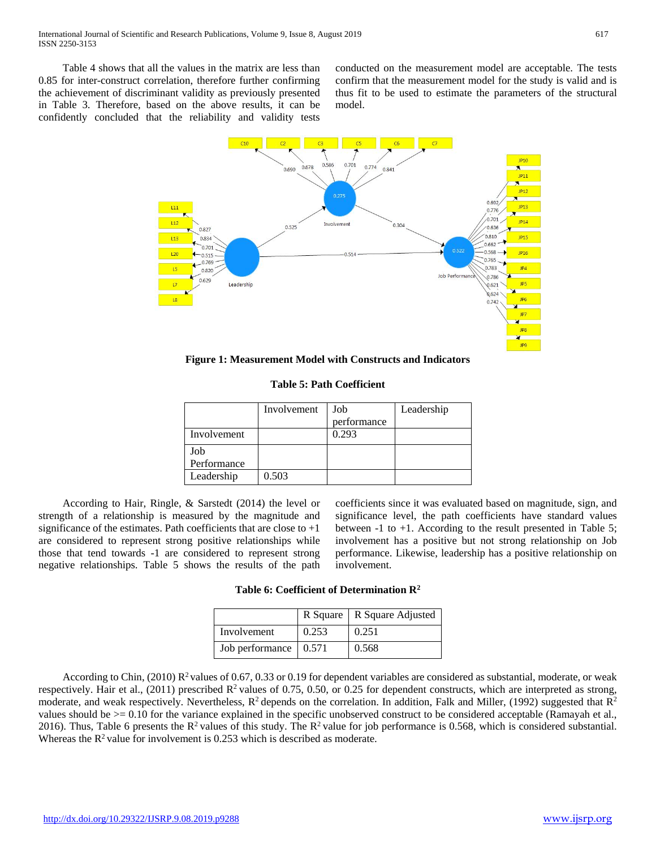Table 4 shows that all the values in the matrix are less than 0.85 for inter-construct correlation, therefore further confirming the achievement of discriminant validity as previously presented in Table 3. Therefore, based on the above results, it can be confidently concluded that the reliability and validity tests conducted on the measurement model are acceptable. The tests confirm that the measurement model for the study is valid and is thus fit to be used to estimate the parameters of the structural model.



**Figure 1: Measurement Model with Constructs and Indicators** 

**Table 5: Path Coefficient**

|             | Involvement | Job         | Leadership |
|-------------|-------------|-------------|------------|
|             |             | performance |            |
| Involvement |             | 0.293       |            |
| Job         |             |             |            |
| Performance |             |             |            |
| Leadership  | 0.503       |             |            |

 According to Hair, Ringle, & Sarstedt (2014) the level or strength of a relationship is measured by the magnitude and significance of the estimates. Path coefficients that are close to  $+1$ are considered to represent strong positive relationships while those that tend towards -1 are considered to represent strong negative relationships. Table 5 shows the results of the path

coefficients since it was evaluated based on magnitude, sign, and significance level, the path coefficients have standard values between -1 to +1. According to the result presented in Table 5; involvement has a positive but not strong relationship on Job performance. Likewise, leadership has a positive relationship on involvement.

|  |  | Table 6: Coefficient of Determination $\mathbb{R}^2$ |  |
|--|--|------------------------------------------------------|--|
|--|--|------------------------------------------------------|--|

|                                     |       | R Square   R Square Adjusted |
|-------------------------------------|-------|------------------------------|
| Involvement                         | 0.253 | 0.251                        |
| Job performance $\vert 0.571 \vert$ |       | 0.568                        |

According to Chin, (2010)  $\mathbb{R}^2$  values of 0.67, 0.33 or 0.19 for dependent variables are considered as substantial, moderate, or weak respectively. Hair et al., (2011) prescribed  $\mathbb{R}^2$  values of 0.75, 0.50, or 0.25 for dependent constructs, which are interpreted as strong, moderate, and weak respectively. Nevertheless,  $R^2$  depends on the correlation. In addition, Falk and Miller, (1992) suggested that  $R^2$ values should be >= 0.10 for the variance explained in the specific unobserved construct to be considered acceptable (Ramayah et al., 2016). Thus, Table 6 presents the  $R^2$  values of this study. The  $R^2$  value for job performance is 0.568, which is considered substantial. Whereas the  $R^2$  value for involvement is 0.253 which is described as moderate.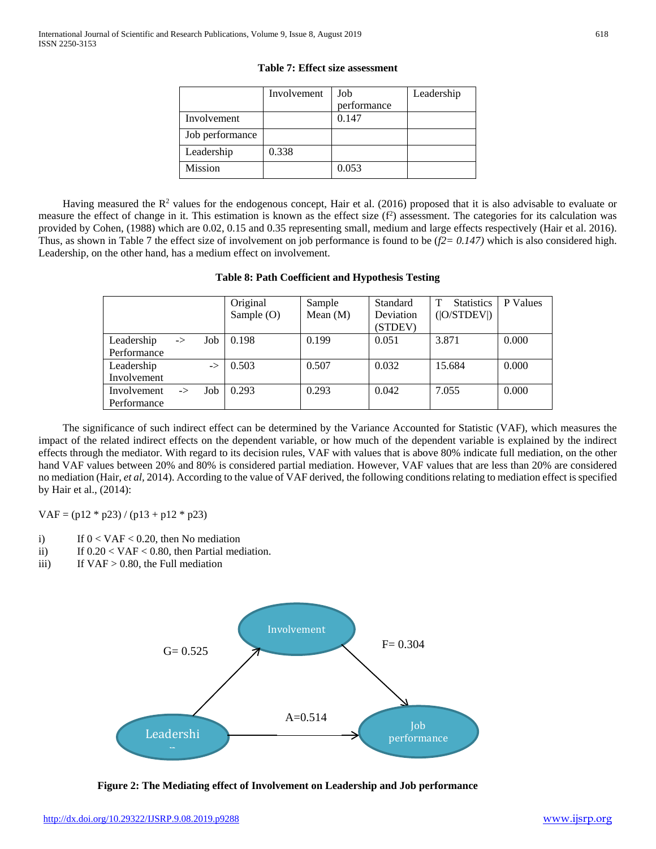|                 | Involvement | Job         | Leadership |
|-----------------|-------------|-------------|------------|
|                 |             | performance |            |
| Involvement     |             | 0.147       |            |
| Job performance |             |             |            |
| Leadership      | 0.338       |             |            |
| Mission         |             | 0.053       |            |

**Table 7: Effect size assessment**

Having measured the  $R^2$  values for the endogenous concept, Hair et al. (2016) proposed that it is also advisable to evaluate or measure the effect of change in it. This estimation is known as the effect size (f<sup>2</sup>) assessment. The categories for its calculation was provided by Cohen, (1988) which are 0.02, 0.15 and 0.35 representing small, medium and large effects respectively (Hair et al. 2016). Thus, as shown in Table 7 the effect size of involvement on job performance is found to be (*f2= 0.147)* which is also considered high. Leadership, on the other hand, has a medium effect on involvement.

|             |               |               | Original   | Sample     | Standard  | <b>Statistics</b><br>т | P Values |
|-------------|---------------|---------------|------------|------------|-----------|------------------------|----------|
|             |               |               | Sample (O) | Mean $(M)$ | Deviation | ( O/STDEV )            |          |
|             |               |               |            |            | (STDEV)   |                        |          |
| Leadership  | $\rightarrow$ | Job           | 0.198      | 0.199      | 0.051     | 3.871                  | 0.000    |
| Performance |               |               |            |            |           |                        |          |
| Leadership  |               | $\rightarrow$ | 0.503      | 0.507      | 0.032     | 15.684                 | 0.000    |
| Involvement |               |               |            |            |           |                        |          |
| Involvement | $\rightarrow$ | Job           | 0.293      | 0.293      | 0.042     | 7.055                  | 0.000    |
| Performance |               |               |            |            |           |                        |          |

## **Table 8: Path Coefficient and Hypothesis Testing**

 The significance of such indirect effect can be determined by the Variance Accounted for Statistic (VAF), which measures the impact of the related indirect effects on the dependent variable, or how much of the dependent variable is explained by the indirect effects through the mediator. With regard to its decision rules, VAF with values that is above 80% indicate full mediation, on the other hand VAF values between 20% and 80% is considered partial mediation. However, VAF values that are less than 20% are considered no mediation (Hair, *et al,* 2014). According to the value of VAF derived, the following conditions relating to mediation effect is specified by Hair et al., (2014):

 $VAF = (p12 * p23) / (p13 + p12 * p23)$ 

- i) If  $0 < VAF < 0.20$ , then No mediation
- ii) If  $0.20 < VAF < 0.80$ , then Partial mediation.
- iii) If  $VAF > 0.80$ , the Full mediation



 **Figure 2: The Mediating effect of Involvement on Leadership and Job performance**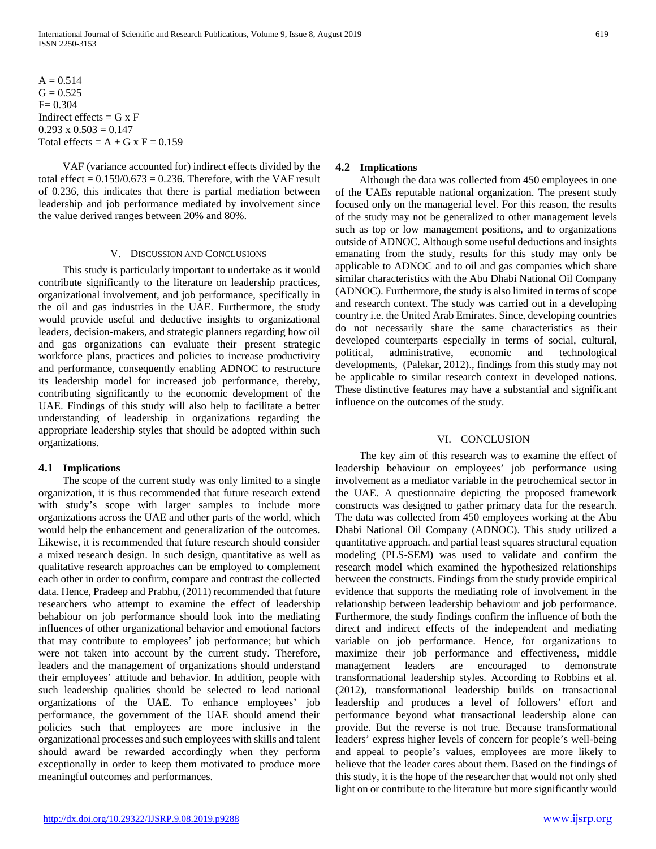$A = 0.514$  $G = 0.525$  $F = 0.304$ Indirect effects =  $G \times F$  $0.293 \times 0.503 = 0.147$ Total effects =  $A + G x F = 0.159$ 

 VAF (variance accounted for) indirect effects divided by the total effect =  $0.159/0.673 = 0.236$ . Therefore, with the VAF result of 0.236, this indicates that there is partial mediation between leadership and job performance mediated by involvement since the value derived ranges between 20% and 80%.

#### V. DISCUSSION AND CONCLUSIONS

 This study is particularly important to undertake as it would contribute significantly to the literature on leadership practices, organizational involvement, and job performance, specifically in the oil and gas industries in the UAE. Furthermore, the study would provide useful and deductive insights to organizational leaders, decision-makers, and strategic planners regarding how oil and gas organizations can evaluate their present strategic workforce plans, practices and policies to increase productivity and performance, consequently enabling ADNOC to restructure its leadership model for increased job performance, thereby, contributing significantly to the economic development of the UAE. Findings of this study will also help to facilitate a better understanding of leadership in organizations regarding the appropriate leadership styles that should be adopted within such organizations.

#### **4.1 Implications**

 The scope of the current study was only limited to a single organization, it is thus recommended that future research extend with study's scope with larger samples to include more organizations across the UAE and other parts of the world, which would help the enhancement and generalization of the outcomes. Likewise, it is recommended that future research should consider a mixed research design. In such design, quantitative as well as qualitative research approaches can be employed to complement each other in order to confirm, compare and contrast the collected data. Hence, Pradeep and Prabhu, (2011) recommended that future researchers who attempt to examine the effect of leadership behabiour on job performance should look into the mediating influences of other organizational behavior and emotional factors that may contribute to employees' job performance; but which were not taken into account by the current study. Therefore, leaders and the management of organizations should understand their employees' attitude and behavior. In addition, people with such leadership qualities should be selected to lead national organizations of the UAE. To enhance employees' job performance, the government of the UAE should amend their policies such that employees are more inclusive in the organizational processes and such employees with skills and talent should award be rewarded accordingly when they perform exceptionally in order to keep them motivated to produce more meaningful outcomes and performances.

## **4.2 Implications**

 Although the data was collected from 450 employees in one of the UAEs reputable national organization. The present study focused only on the managerial level. For this reason, the results of the study may not be generalized to other management levels such as top or low management positions, and to organizations outside of ADNOC. Although some useful deductions and insights emanating from the study, results for this study may only be applicable to ADNOC and to oil and gas companies which share similar characteristics with the Abu Dhabi National Oil Company (ADNOC). Furthermore, the study is also limited in terms of scope and research context. The study was carried out in a developing country i.e. the United Arab Emirates. Since, developing countries do not necessarily share the same characteristics as their developed counterparts especially in terms of social, cultural, political, administrative, economic and technological developments, (Palekar, 2012)., findings from this study may not be applicable to similar research context in developed nations. These distinctive features may have a substantial and significant influence on the outcomes of the study.

#### VI. CONCLUSION

 The key aim of this research was to examine the effect of leadership behaviour on employees' job performance using involvement as a mediator variable in the petrochemical sector in the UAE. A questionnaire depicting the proposed framework constructs was designed to gather primary data for the research. The data was collected from 450 employees working at the Abu Dhabi National Oil Company (ADNOC). This study utilized a quantitative approach. and partial least squares structural equation modeling (PLS-SEM) was used to validate and confirm the research model which examined the hypothesized relationships between the constructs. Findings from the study provide empirical evidence that supports the mediating role of involvement in the relationship between leadership behaviour and job performance. Furthermore, the study findings confirm the influence of both the direct and indirect effects of the independent and mediating variable on job performance. Hence, for organizations to maximize their job performance and effectiveness, middle management leaders are encouraged to demonstrate transformational leadership styles. According to Robbins et al. (2012), transformational leadership builds on transactional leadership and produces a level of followers' effort and performance beyond what transactional leadership alone can provide. But the reverse is not true. Because transformational leaders' express higher levels of concern for people's well-being and appeal to people's values, employees are more likely to believe that the leader cares about them. Based on the findings of this study, it is the hope of the researcher that would not only shed light on or contribute to the literature but more significantly would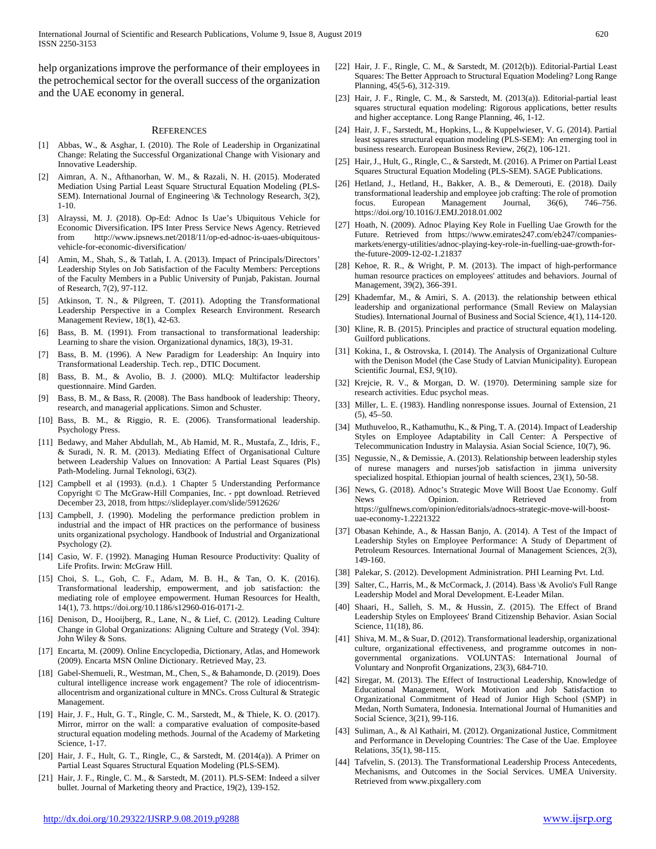help organizations improve the performance of their employees in the petrochemical sector for the overall success of the organization and the UAE economy in general.

#### **REFERENCES**

- [1] Abbas, W., & Asghar, I. (2010). The Role of Leadership in Organizatinal Change: Relating the Successful Organizational Change with Visionary and Innovative Leadership.
- Aimran, A. N., Afthanorhan, W. M., & Razali, N. H. (2015). Moderated Mediation Using Partial Least Square Structural Equation Modeling (PLS-SEM). International Journal of Engineering \& Technology Research, 3(2), 1-10.
- [3] Alrayssi, M. J. (2018). Op-Ed: Adnoc Is Uae's Ubiquitous Vehicle for Economic Diversification. IPS Inter Press Service News Agency. Retrieved from http://www.ipsnews.net/2018/11/op-ed-adnoc-is-uaes-ubiquitousvehicle-for-economic-diversification/
- [4] Amin, M., Shah, S., & Tatlah, I. A. (2013). Impact of Principals/Directors' Leadership Styles on Job Satisfaction of the Faculty Members: Perceptions of the Faculty Members in a Public University of Punjab, Pakistan. Journal of Research, 7(2), 97-112.
- [5] Atkinson, T. N., & Pilgreen, T. (2011). Adopting the Transformational Leadership Perspective in a Complex Research Environment. Research Management Review, 18(1), 42-63.
- Bass, B. M. (1991). From transactional to transformational leadership: Learning to share the vision. Organizational dynamics, 18(3), 19-31.
- [7] Bass, B. M. (1996). A New Paradigm for Leadership: An Inquiry into Transformational Leadership. Tech. rep., DTIC Document.
- [8] Bass, B. M., & Avolio, B. J. (2000). MLQ: Multifactor leadership questionnaire. Mind Garden.
- [9] Bass, B. M., & Bass, R. (2008). The Bass handbook of leadership: Theory, research, and managerial applications. Simon and Schuster.
- [10] Bass, B. M., & Riggio, R. E. (2006). Transformational leadership. Psychology Press.
- [11] Bedawy, and Maher Abdullah, M., Ab Hamid, M. R., Mustafa, Z., Idris, F., & Suradi, N. R. M. (2013). Mediating Effect of Organisational Culture between Leadership Values on Innovation: A Partial Least Squares (Pls) Path-Modeling. Jurnal Teknologi, 63(2).
- [12] Campbell et al (1993). (n.d.). 1 Chapter 5 Understanding Performance Copyright © The McGraw-Hill Companies, Inc. - ppt download. Retrieved December 23, 2018, from https://slideplayer.com/slide/5912626/
- [13] Campbell, J. (1990). Modeling the performance prediction problem in industrial and the impact of HR practices on the performance of business units organizational psychology. Handbook of Industrial and Organizational Psychology (2).
- [14] Casio, W. F. (1992). Managing Human Resource Productivity: Quality of Life Profits. Irwin: McGraw Hill.
- [15] Choi, S. L., Goh, C. F., Adam, M. B. H., & Tan, O. K. (2016). Transformational leadership, empowerment, and job satisfaction: the mediating role of employee empowerment. Human Resources for Health, 14(1), 73. https://doi.org/10.1186/s12960-016-0171-2.
- [16] Denison, D., Hooijberg, R., Lane, N., & Lief, C. (2012). Leading Culture Change in Global Organizations: Aligning Culture and Strategy (Vol. 394): John Wiley & Sons.
- [17] Encarta, M. (2009). Online Encyclopedia, Dictionary, Atlas, and Homework (2009). Encarta MSN Online Dictionary. Retrieved May, 23.
- [18] Gabel-Shemueli, R., Westman, M., Chen, S., & Bahamonde, D. (2019). Does cultural intelligence increase work engagement? The role of idiocentrismallocentrism and organizational culture in MNCs. Cross Cultural & Strategic Management.
- [19] Hair, J. F., Hult, G. T., Ringle, C. M., Sarstedt, M., & Thiele, K. O. (2017). Mirror, mirror on the wall: a comparative evaluation of composite-based structural equation modeling methods. Journal of the Academy of Marketing Science, 1-17.
- [20] Hair, J. F., Hult, G. T., Ringle, C., & Sarstedt, M. (2014(a)). A Primer on Partial Least Squares Structural Equation Modeling (PLS-SEM).
- [21] Hair, J. F., Ringle, C. M., & Sarstedt, M. (2011). PLS-SEM: Indeed a silver bullet. Journal of Marketing theory and Practice, 19(2), 139-152.
- [22] Hair, J. F., Ringle, C. M., & Sarstedt, M. (2012(b)). Editorial-Partial Least Squares: The Better Approach to Structural Equation Modeling? Long Range Planning, 45(5-6), 312-319.
- [23] Hair, J. F., Ringle, C. M., & Sarstedt, M. (2013(a)). Editorial-partial least squares structural equation modeling: Rigorous applications, better results and higher acceptance. Long Range Planning, 46, 1-12.
- [24] Hair, J. F., Sarstedt, M., Hopkins, L., & Kuppelwieser, V. G. (2014). Partial least squares structural equation modeling (PLS-SEM): An emerging tool in business research. European Business Review, 26(2), 106-121.
- [25] Hair, J., Hult, G., Ringle, C., & Sarstedt, M. (2016). A Primer on Partial Least Squares Structural Equation Modeling (PLS-SEM). SAGE Publications.
- [26] Hetland, J., Hetland, H., Bakker, A. B., & Demerouti, E. (2018). Daily transformational leadership and employee job crafting: The role of promotion focus. European Management Journal, 36(6), 746–756. https://doi.org/10.1016/J.EMJ.2018.01.002
- [27] Hoath, N. (2009). Adnoc Playing Key Role in Fuelling Uae Growth for the Future. Retrieved from https://www.emirates247.com/eb247/companiesmarkets/energy-utilities/adnoc-playing-key-role-in-fuelling-uae-growth-forthe-future-2009-12-02-1.21837
- [28] Kehoe, R. R., & Wright, P. M. (2013). The impact of high-performance human resource practices on employees' attitudes and behaviors. Journal of Management, 39(2), 366-391.
- [29] Khademfar, M., & Amiri, S. A. (2013). the relationship between ethical leadership and organizational performance (Small Review on Malaysian Studies). International Journal of Business and Social Science, 4(1), 114-120.
- [30] Kline, R. B. (2015). Principles and practice of structural equation modeling. Guilford publications.
- [31] Kokina, I., & Ostrovska, I. (2014). The Analysis of Organizational Culture with the Denison Model (the Case Study of Latvian Municipality). European Scientific Journal, ESJ, 9(10).
- [32] Krejcie, R. V., & Morgan, D. W. (1970). Determining sample size for research activities. Educ psychol meas.
- [33] Miller, L. E. (1983). Handling nonresponse issues. Journal of Extension, 21  $(5)$ , 45–50.
- [34] Muthuveloo, R., Kathamuthu, K., & Ping, T. A. (2014). Impact of Leadership Styles on Employee Adaptability in Call Center: A Perspective of Telecommunication Industry in Malaysia. Asian Social Science, 10(7), 96.
- [35] Negussie, N., & Demissie, A. (2013). Relationship between leadership styles of nurese managers and nurses'job satisfaction in jimma university specialized hospital. Ethiopian journal of health sciences, 23(1), 50-58.
- [36] News, G. (2018). Adnoc's Strategic Move Will Boost Uae Economy. Gulf News Opinion. Retrieved from https://gulfnews.com/opinion/editorials/adnocs-strategic-move-will-boostuae-economy-1.2221322
- [37] Obasan Kehinde, A., & Hassan Banjo, A. (2014). A Test of the Impact of Leadership Styles on Employee Performance: A Study of Department of Petroleum Resources. International Journal of Management Sciences, 2(3), 149-160.
- [38] Palekar, S. (2012). Development Administration. PHI Learning Pvt. Ltd.
- [39] Salter, C., Harris, M., & McCormack, J. (2014). Bass \& Avolio's Full Range Leadership Model and Moral Development. E-Leader Milan.
- [40] Shaari, H., Salleh, S. M., & Hussin, Z. (2015). The Effect of Brand Leadership Styles on Employees' Brand Citizenship Behavior. Asian Social Science, 11(18), 86.
- [41] Shiva, M. M., & Suar, D. (2012). Transformational leadership, organizational culture, organizational effectiveness, and programme outcomes in nongovernmental organizations. VOLUNTAS: International Journal of Voluntary and Nonprofit Organizations, 23(3), 684-710.
- [42] Siregar, M. (2013). The Effect of Instructional Leadership, Knowledge of Educational Management, Work Motivation and Job Satisfaction to Organizational Commitment of Head of Junior High School (SMP) in Medan, North Sumatera, Indonesia. International Journal of Humanities and Social Science, 3(21), 99-116.
- [43] Suliman, A., & Al Kathairi, M. (2012). Organizational Justice, Commitment and Performance in Developing Countries: The Case of the Uae. Employee Relations, 35(1), 98-115.
- [44] Tafvelin, S. (2013). The Transformational Leadership Process Antecedents, Mechanisms, and Outcomes in the Social Services. UMEA University. Retrieved from www.pixgallery.com